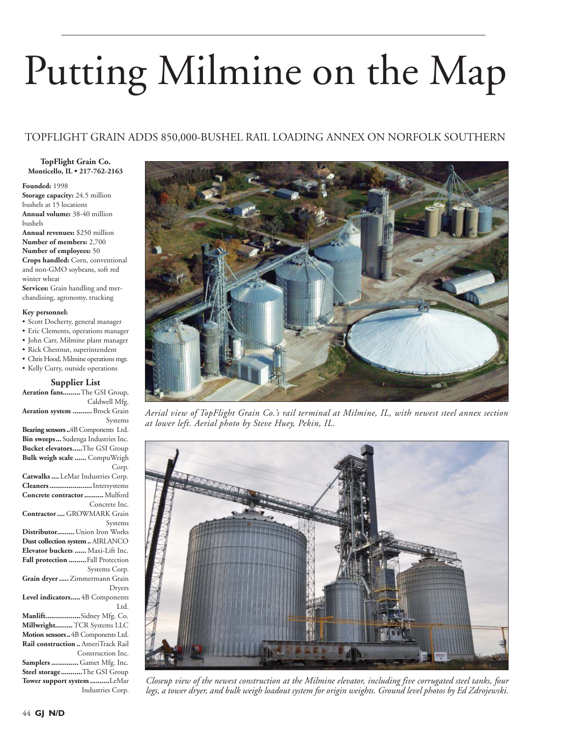# Putting Milmine on the Map

# TOPFLIGHT GRAIN ADDS 850,000-BUSHEL RAIL LOADING ANNEX ON NORFOLK SOUTHERN

**TopFlight Grain Co. Monticello, IL • 217-762-2163**

**Founded:** 1998 **Storage capacity:** 24.5 million bushels at 15 locations **Annual volume:** 38-40 million bushels

**Annual revenues:** \$250 million **Number of members:** 2,700 **Number of employees:** 50

**Crops handled:** Corn, conventional and non-GMO soybeans, soft red winter wheat

**Services:** Grain handling and merchandising, agronomy, trucking

#### **Key personnel:**

- Scott Docherty, general manager
- Eric Clements, operations manager
- John Carr, Milmine plant manager
- Rick Chestnut, superintendent
- Chris Hood, Milmine operations mgr. • Kelly Curry, outside operations

# **Supplier List**

**Aeration fans .........**The GSI Group, Caldwell Mfg. **Aeration system ..........** Brock Grain

Systems **Bearing sensors ..**4B Components Ltd. **Bin sweeps ...** Sudenga Industries Inc. **Bucket elevators .....**The GSI Group **Bulk weigh scale ......** CompuWeigh Corp. **Catwalks ....** LeMar Industries Corp. **Cleaners ......................**Intersystems **Concrete contractor ..........**Mulford

Concrete Inc. **Contractor ....** GROWMARK Grain

Systems **Distributor.........**Union Iron Works **Dust collection system ..** AIRLANCO

**Elevator buckets ......** Maxi-Lift Inc. **Fall protection .........**Fall Protection Systems Corp. **Grain dryer .....**Zimmermann Grain

Dryers **Level indicators .....**4B Components

Ltd. **Manlift ..................**Sidney Mfg. Co. **Millwright.........** TCR Systems LLC **Motion sensors ..**4B Components Ltd.

**Rail construction ..**AmeriTrack Rail Construction Inc. **Samplers ..............** Gamet Mfg. Inc. **Steel storage ...........**The GSI Group **Tower support system ..........**LeMar

Industries Corp.



*Aerial view of TopFlight Grain Co.'s rail terminal at Milmine, IL, with newest steel annex section at lower left. Aerial photo by Steve Huey, Pekin, IL.*



*Closeup view of the newest construction at the Milmine elevator, including five corrugated steel tanks, four legs, a tower dryer, and bulk weigh loadout system for origin weights. Ground level photos by Ed Zdrojewski.*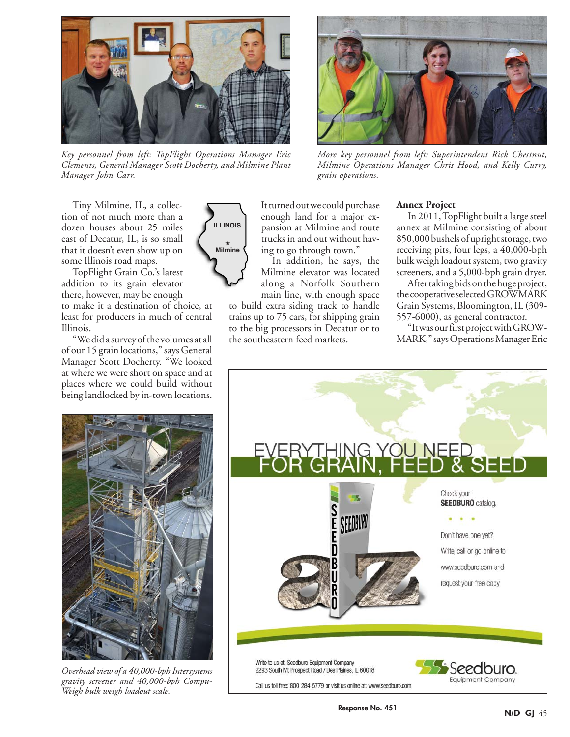

*Key personnel from left: TopFlight Operations Manager Eric Clements, General Manager Scott Docherty, and Milmine Plant Manager John Carr.*



*More key personnel from left: Superintendent Rick Chestnut, Milmine Operations Manager Chris Hood, and Kelly Curry, grain operations.*

Tiny Milmine, IL, a collection of not much more than a dozen houses about 25 miles east of Decatur, IL, is so small that it doesn't even show up on some Illinois road maps.

TopFlight Grain Co.'s latest addition to its grain elevator there, however, may be enough

to make it a destination of choice, at least for producers in much of central Illinois.

"We did a survey of the volumes at all of our 15 grain locations," says General Manager Scott Docherty. "We looked at where we were short on space and at places where we could build without being landlocked by in-town locations.



It turned out we could purchase enough land for a major expansion at Milmine and route trucks in and out without having to go through town."

In addition, he says, the Milmine elevator was located along a Norfolk Southern main line, with enough space

to build extra siding track to handle trains up to 75 cars, for shipping grain to the big processors in Decatur or to the southeastern feed markets.

# **Annex Project**

In 2011, TopFlight built a large steel annex at Milmine consisting of about 850,000 bushels of upright storage, two receiving pits, four legs, a 40,000-bph bulk weigh loadout system, two gravity screeners, and a 5,000-bph grain dryer.

After taking bids on the huge project, the cooperative selected GROWMARK Grain Systems, Bloomington, IL (309- 557-6000), as general contractor.

"It was our first project with GROW-MARK," says Operations Manager Eric



*Overhead view of a 40,000-bph Intersystems gravity screener and 40,000-bph Compu-Weigh bulk weigh loadout scale.*

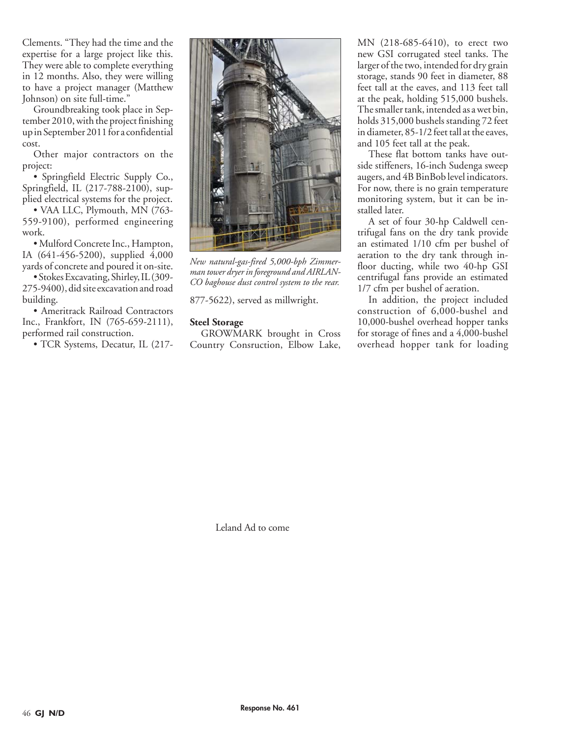Clements. "They had the time and the expertise for a large project like this. They were able to complete everything in 12 months. Also, they were willing to have a project manager (Matthew Johnson) on site full-time."

Groundbreaking took place in September 2010, with the project finishing up in September 2011 for a confidential cost.

Other major contractors on the project:

• Springfield Electric Supply Co., Springfield, IL (217-788-2100), supplied electrical systems for the project.

• VAA LLC, Plymouth, MN (763-559-9100), performed engineering work.

• Mulford Concrete Inc., Hampton, IA (641-456-5200), supplied 4,000 yards of concrete and poured it on-site.

• Stokes Excavating, Shirley, IL (309- 275-9400), did site excavation and road building.

• Ameritrack Railroad Contractors Inc., Frankfort, IN (765-659-2111), performed rail construction.

• TCR Systems, Decatur, IL (217-



*New natural-gas-fired 5,000-bph Zimmerman tower dryer in foreground and AIRLAN-CO baghouse dust control system to the rear.*

877-5622), served as millwright.

# **Steel Storage**

GROWMARK brought in Cross Country Consruction, Elbow Lake, MN (218-685-6410), to erect two new GSI corrugated steel tanks. The larger of the two, intended for dry grain storage, stands 90 feet in diameter, 88 feet tall at the eaves, and 113 feet tall at the peak, holding 515,000 bushels. The smaller tank, intended as a wet bin, holds 315,000 bushels standing 72 feet in diameter, 85-1/2 feet tall at the eaves, and 105 feet tall at the peak.

These flat bottom tanks have outside stiffeners, 16-inch Sudenga sweep augers, and 4B BinBob level indicators. For now, there is no grain temperature monitoring system, but it can be installed later.

A set of four 30-hp Caldwell centrifugal fans on the dry tank provide an estimated 1/10 cfm per bushel of aeration to the dry tank through infloor ducting, while two 40-hp GSI centrifugal fans provide an estimated 1/7 cfm per bushel of aeration.

In addition, the project included construction of 6,000-bushel and 10,000-bushel overhead hopper tanks for storage of fines and a 4,000-bushel overhead hopper tank for loading

Leland Ad to come